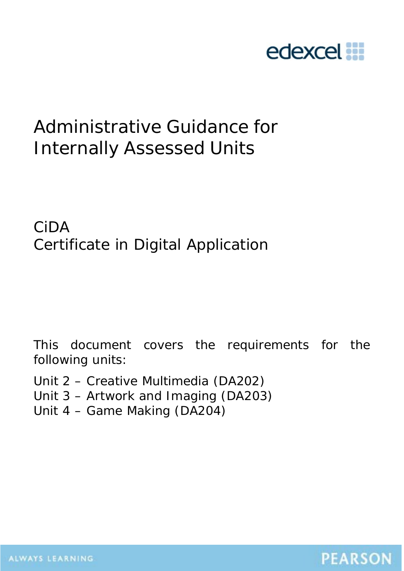

# Administrative Guidance for Internally Assessed Units

CiDA Certificate in Digital Application

This document covers the requirements for the following units:

Unit 2 – Creative Multimedia (DA202) Unit 3 – Artwork and Imaging (DA203)

Unit 4 – Game Making (DA204)

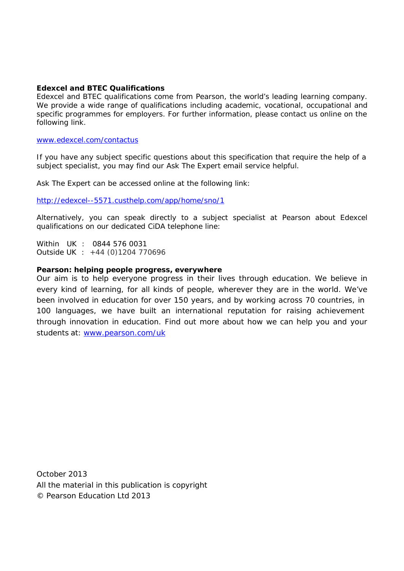#### **Edexcel and BTEC Qualifications**

Edexcel and BTEC qualifications come from Pearson, the world's leading learning company. We provide a wide range of qualifications including academic, vocational, occupational and specific programmes for employers. For further information, please contact us online on the following link.

#### [www.edexcel.com/contactus](http://www.edexcel.com/contactus)

If you have any subject specific questions about this specification that require the help of a subject specialist, you may find our Ask The Expert email service helpful.

Ask The Expert can be accessed online at the following link:

<http://edexcel--5571.custhelp.com/app/home/sno/1>

Alternatively, you can speak directly to a subject specialist at Pearson about Edexcel qualifications on our dedicated CiDA telephone line:

Within UK : 0844 576 0031 Outside UK : +44 (0)1204 770696

#### **Pearson: helping people progress, everywhere**

Our aim is to help everyone progress in their lives through education. We believe in every kind of learning, for all kinds of people, wherever they are in the world. We've been involved in education for over 150 years, and by working across 70 countries, in 100 languages, we have built an international reputation for raising achievement through innovation in education. Find out more about how we can help you and your students at: [www.pearson.com/uk](http://www.pearson.com/uk)

October 2013 All the material in this publication is copyright © Pearson Education Ltd 2013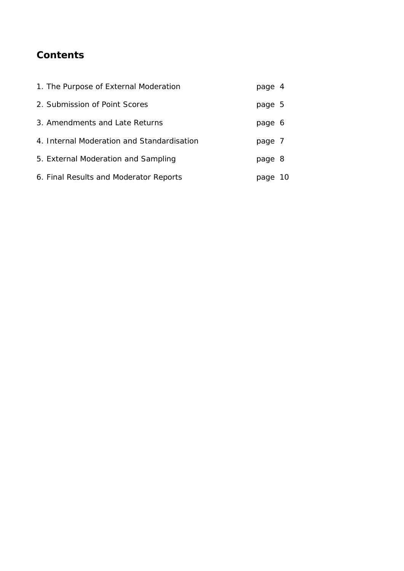## **Contents**

| 1. The Purpose of External Moderation      | page 4 |    |
|--------------------------------------------|--------|----|
| 2. Submission of Point Scores              | page 5 |    |
| 3. Amendments and Late Returns             | page 6 |    |
| 4. Internal Moderation and Standardisation | page 7 |    |
| 5. External Moderation and Sampling        | page 8 |    |
| 6. Final Results and Moderator Reports     | page   | 10 |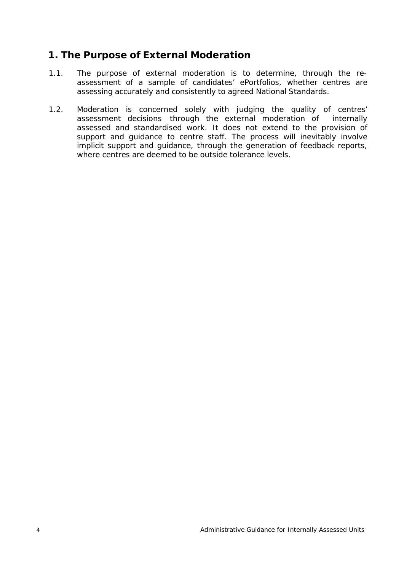## **1. The Purpose of External Moderation**

- 1.1. The purpose of external moderation is to determine, through the reassessment of a sample of candidates' ePortfolios, whether centres are assessing accurately and consistently to agreed National Standards.
- 1.2. Moderation is concerned solely with judging the quality of centres' assessment decisions through the external moderation of internally assessed and standardised work. It does not extend to the provision of support and guidance to centre staff. The process will inevitably involve implicit support and guidance, through the generation of feedback reports, where centres are deemed to be outside tolerance levels.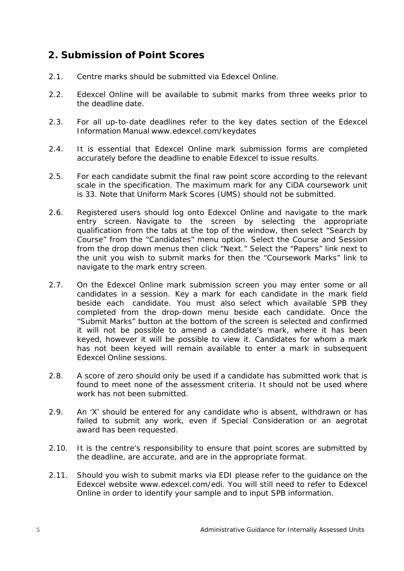## **2. Submission of Point Scores**

- 2.1. Centre marks should be submitted via Edexcel Online.
- 2.2. Edexcel Online will be available to submit marks from three weeks prior to the deadline date.
- 2.3. For all up-to-date deadlines refer to the key dates section of the Edexcel Information Manual [www.edexcel.com/keydates](http://www.edexcel.com/keydates)
- 2.4. It is essential that Edexcel Online mark submission forms are completed accurately before the deadline to enable Edexcel to issue results.
- 2.5. For each candidate submit the final raw point score according to the relevant scale in the specification. The maximum mark for any CiDA coursework unit is 33. Note that Uniform Mark Scores (UMS) should not be submitted.
- 2.6. Registered users should log onto Edexcel Online and navigate to the mark entry screen. Navigate to the screen by selecting the appropriate qualification from the tabs at the top of the window, then select "Search by Course" from the "Candidates" menu option. Select the Course and Session from the drop down menus then click "Next." Select the "Papers" link next to the unit you wish to submit marks for then the "Coursework Marks" link to navigate to the mark entry screen.
- 2.7. On the Edexcel Online mark submission screen you may enter some or all candidates in a session. Key a mark for each candidate in the mark field beside each candidate. You must also select which available SPB they completed from the drop-down menu beside each candidate. Once the "Submit Marks" button at the bottom of the screen is selected and confirmed it will not be possible to amend a candidate's mark, where it has been keyed, however it will be possible to view it. Candidates for whom a mark has not been keyed will remain available to enter a mark in subsequent Edexcel Online sessions.
- 2.8. A score of zero should only be used if a candidate has submitted work that is found to meet none of the assessment criteria. It should not be used where work has not been submitted.
- 2.9. An 'X' should be entered for any candidate who is absent, withdrawn or has failed to submit any work, even if Special Consideration or an aegrotat award has been requested.
- 2.10. It is the centre's responsibility to ensure that point scores are submitted by the deadline, are accurate, and are in the appropriate format.
- 2.11. Should you wish to submit marks via EDI please refer to the guidance on the Edexcel website [www.edexcel.com/edi.](http://www.edexcel.com/edi) You will still need to refer to Edexcel Online in order to identify your sample and to input SPB information.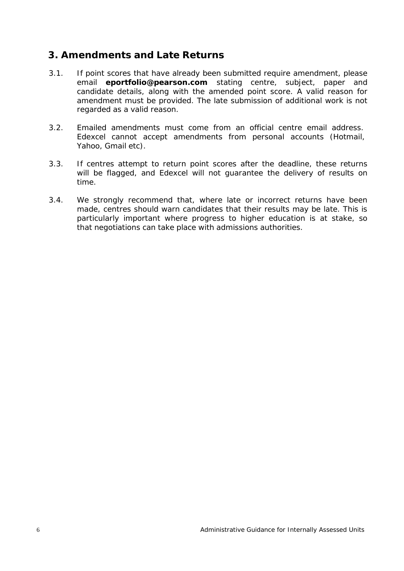#### **3. Amendments and Late Returns**

- 3.1. If point scores that have already been submitted require amendment, please email **[eportfolio@pearson.com](mailto:eportfolio@pearson.com)** stating centre, subject, paper and candidate details, along with the amended point score. A valid reason for amendment must be provided. The late submission of additional work is not regarded as a valid reason.
- 3.2. Emailed amendments must come from an official centre email address. Edexcel cannot accept amendments from personal accounts (*Hotmail*, *Yahoo*, *Gmail* etc).
- 3.3. If centres attempt to return point scores after the deadline, these returns will be flagged, and Edexcel will not guarantee the delivery of results on time.
- 3.4. We strongly recommend that, where late or incorrect returns have been made, centres should warn candidates that their results may be late. This is particularly important where progress to higher education is at stake, so that negotiations can take place with admissions authorities.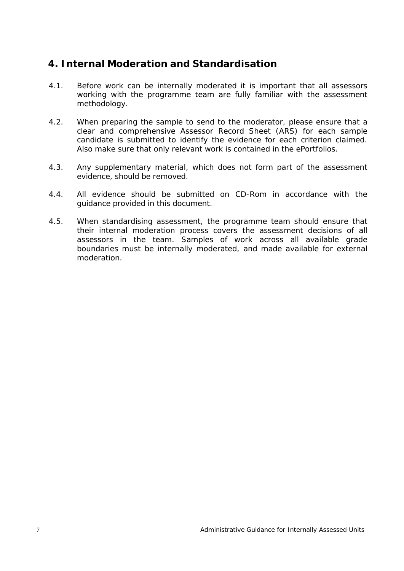#### **4. Internal Moderation and Standardisation**

- 4.1. Before work can be internally moderated it is important that all assessors working with the programme team are fully familiar with the assessment methodology.
- 4.2. When preparing the sample to send to the moderator, please ensure that a clear and comprehensive Assessor Record Sheet (ARS) for each sample candidate is submitted to identify the evidence for each criterion claimed. Also make sure that only relevant work is contained in the ePortfolios.
- 4.3. Any supplementary material, which does not form part of the assessment evidence, should be removed.
- 4.4. All evidence should be submitted on CD-Rom in accordance with the guidance provided in this document.
- 4.5. When standardising assessment, the programme team should ensure that their internal moderation process covers the assessment decisions of all assessors in the team. Samples of work across all available grade boundaries must be internally moderated, and made available for external moderation.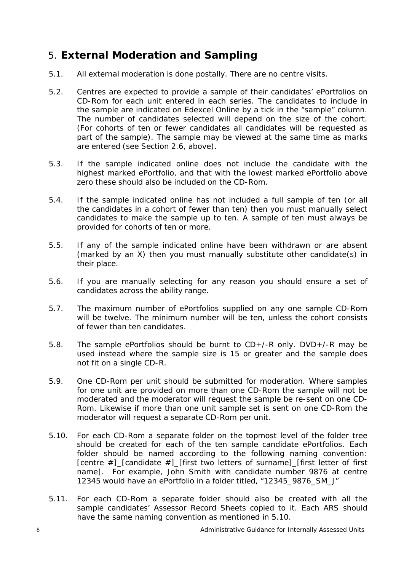## 5. **External Moderation and Sampling**

- 5.1. All external moderation is done postally. There are no centre visits.
- 5.2. Centres are expected to provide a sample of their candidates' ePortfolios on CD-Rom for each unit entered in each series. The candidates to include in the sample are indicated on Edexcel Online by a tick in the "sample" column. The number of candidates selected will depend on the size of the cohort. (For cohorts of ten or fewer candidates all candidates will be requested as part of the sample). The sample may be viewed at the same time as marks are entered (see Section 2.6, above).
- 5.3. If the sample indicated online does not include the candidate with the highest marked ePortfolio, and that with the lowest marked ePortfolio above zero these should also be included on the CD-Rom.
- 5.4. If the sample indicated online has not included a full sample of ten (or all the candidates in a cohort of fewer than ten) then you must manually select candidates to make the sample up to ten. A sample of ten must always be provided for cohorts of ten or more.
- 5.5. If any of the sample indicated online have been withdrawn or are absent (marked by an X) then you must manually substitute other candidate(s) in their place.
- 5.6. If you are manually selecting for any reason you should ensure a set of candidates across the ability range.
- 5.7. The maximum number of ePortfolios supplied on any one sample CD-Rom will be twelve. The minimum number will be ten, unless the cohort consists of fewer than ten candidates.
- 5.8. The sample ePortfolios should be burnt to CD+/-R only. DVD+/-R may be used instead where the sample size is 15 or greater and the sample does not fit on a single CD-R.
- 5.9. One CD-Rom per unit should be submitted for moderation. Where samples for one unit are provided on more than one CD-Rom the sample will not be moderated and the moderator will request the sample be re-sent on one CD-Rom. Likewise if more than one unit sample set is sent on one CD-Rom the moderator will request a separate CD-Rom per unit.
- 5.10. For each CD-Rom a separate folder on the topmost level of the folder tree should be created for each of the ten sample candidate ePortfolios. Each folder should be named according to the following naming convention: [centre #]\_[candidate #]\_[first two letters of surname]\_[first letter of first name]. For example, John Smith with candidate number 9876 at centre 12345 would have an ePortfolio in a folder titled, "12345\_9876\_SM\_J"
- 5.11. For each CD-Rom a separate folder should also be created with all the sample candidates' Assessor Record Sheets copied to it. Each ARS should have the same naming convention as mentioned in 5.10.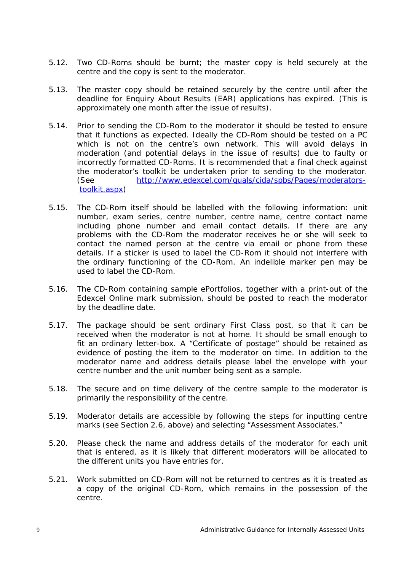- 5.12. Two CD-Roms should be burnt; the master copy is held securely at the centre and the copy is sent to the moderator.
- 5.13. The master copy should be retained securely by the centre until after the deadline for Enquiry About Results (EAR) applications has expired. (This is approximately one month after the issue of results).
- 5.14. Prior to sending the CD-Rom to the moderator it should be tested to ensure that it functions as expected. Ideally the CD-Rom should be tested on a PC which is not on the centre's own network. This will avoid delays in moderation (and potential delays in the issue of results) due to faulty or incorrectly formatted CD-Roms. It is recommended that a final check against the moderator's toolkit be undertaken prior to sending to the moderator. [\(](http://www.edexcel.com/quals/cida/spbs/Pages/moderators-)See [http://www.edexcel.com/quals/cida/spbs/Pages/moderators](http://www.edexcel.com/quals/cida/spbs/Pages/moderators-)toolkit.aspx)
- 5.15. The CD-Rom itself should be labelled with the following information: unit number, exam series, centre number, centre name, centre contact name including phone number and email contact details. If there are any problems with the CD-Rom the moderator receives he or she will seek to contact the named person at the centre via email or phone from these details. If a sticker is used to label the CD-Rom it should not interfere with the ordinary functioning of the CD-Rom. An indelible marker pen may be used to label the CD-Rom.
- 5.16. The CD-Rom containing sample ePortfolios, together with a print-out of the Edexcel Online mark submission, should be posted to reach the moderator by the deadline date.
- 5.17. The package should be sent ordinary First Class post, so that it can be received when the moderator is not at home. It should be small enough to fit an ordinary letter-box. A "Certificate of postage" should be retained as evidence of posting the item to the moderator on time. In addition to the moderator name and address details please label the envelope with your centre number and the unit number being sent as a sample.
- 5.18. The secure and on time delivery of the centre sample to the moderator is primarily the responsibility of the centre.
- 5.19. Moderator details are accessible by following the steps for inputting centre marks (see Section 2.6, above) and selecting "Assessment Associates."
- 5.20. Please check the name and address details of the moderator for each unit that is entered, as it is likely that different moderators will be allocated to the different units you have entries for.
- 5.21. Work submitted on CD-Rom will not be returned to centres as it is treated as a copy of the original CD-Rom, which remains in the possession of the centre.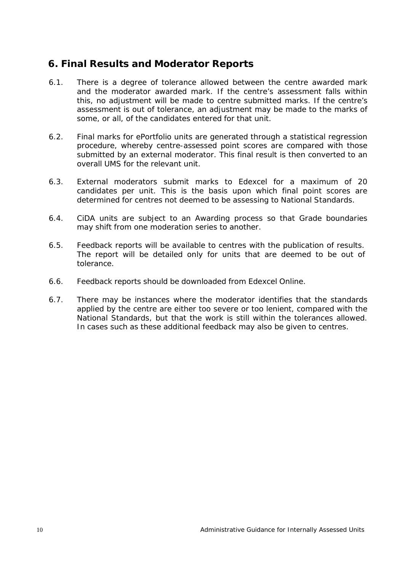#### **6. Final Results and Moderator Reports**

- 6.1. There is a degree of tolerance allowed between the centre awarded mark and the moderator awarded mark. If the centre's assessment falls within this, no adjustment will be made to centre submitted marks. If the centre's assessment is out of tolerance, an adjustment may be made to the marks of some, or all, of the candidates entered for that unit.
- 6.2. Final marks for ePortfolio units are generated through a statistical regression procedure, whereby centre-assessed point scores are compared with those submitted by an external moderator. This final result is then converted to an overall UMS for the relevant unit.
- 6.3. External moderators submit marks to Edexcel for a maximum of 20 candidates per unit. This is the basis upon which final point scores are determined for centres not deemed to be assessing to National Standards.
- 6.4. CiDA units are subject to an Awarding process so that Grade boundaries may shift from one moderation series to another.
- 6.5. Feedback reports will be available to centres with the publication of results. The report will be detailed only for units that are deemed to be out of tolerance.
- 6.6. Feedback reports should be downloaded from Edexcel Online.
- 6.7. There may be instances where the moderator identifies that the standards applied by the centre are either too severe or too lenient, compared with the National Standards, but that the work is still within the tolerances allowed. In cases such as these additional feedback may also be given to centres.